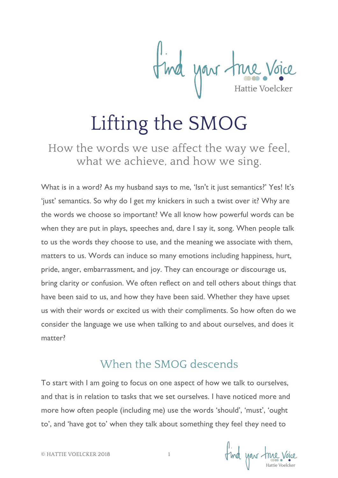The your true Voice

# Lifting the SMOG

How the words we use affect the way we feel, what we achieve, and how we sing.

What is in a word? As my husband says to me, 'Isn't it just semantics?' Yes! It's 'just' semantics. So why do I get my knickers in such a twist over it? Why are the words we choose so important? We all know how powerful words can be when they are put in plays, speeches and, dare I say it, song. When people talk to us the words they choose to use, and the meaning we associate with them, matters to us. Words can induce so many emotions including happiness, hurt, pride, anger, embarrassment, and joy. They can encourage or discourage us, bring clarity or confusion. We often reflect on and tell others about things that have been said to us, and how they have been said. Whether they have upset us with their words or excited us with their compliments. So how often do we consider the language we use when talking to and about ourselves, and does it matter?

#### When the SMOG descends

To start with I am going to focus on one aspect of how we talk to ourselves, and that is in relation to tasks that we set ourselves. I have noticed more and more how often people (including me) use the words 'should', 'must', 'ought to', and 'have got to' when they talk about something they feel they need to

find your true voice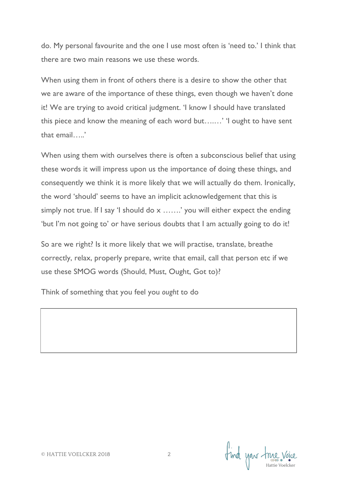do. My personal favourite and the one I use most often is 'need to.' I think that there are two main reasons we use these words.

When using them in front of others there is a desire to show the other that we are aware of the importance of these things, even though we haven't done it! We are trying to avoid critical judgment. 'I know I should have translated this piece and know the meaning of each word but….…' 'I ought to have sent that email…..'

When using them with ourselves there is often a subconscious belief that using these words it will impress upon us the importance of doing these things, and consequently we think it is more likely that we will actually do them. Ironically, the word 'should' seems to have an implicit acknowledgement that this is simply not true. If I say 'I should do x …….' you will either expect the ending 'but I'm not going to' or have serious doubts that I am actually going to do it!

So are we right? Is it more likely that we will practise, translate, breathe correctly, relax, properly prepare, write that email, call that person etc if we use these SMOG words (Should, Must, Ought, Got to)?

Think of something that you feel you *ought* to do

find your true voice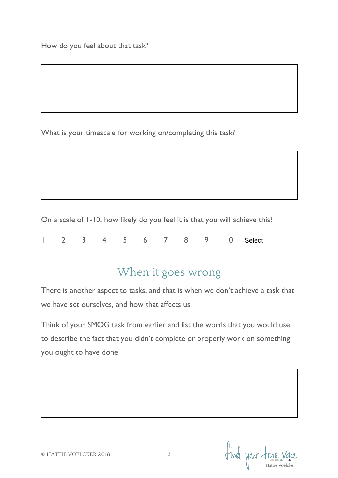What is your timescale for working on/completing this task?

On a scale of 1-10, how likely do you feel it is that you will achieve this?

1 2 3 4 5 6 7 8 9 10 **Select** 

#### When it goes wrong

There is another aspect to tasks, and that is when we don't achieve a task that we have set ourselves, and how that affects us.

Think of your SMOG task from earlier and list the words that you would use to describe the fact that you didn't complete or properly work on something you ought to have done.

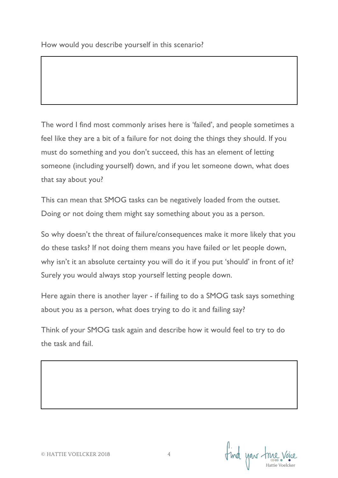The word I find most commonly arises here is 'failed', and people sometimes a feel like they are a bit of a failure for not doing the things they should. If you must do something and you don't succeed, this has an element of letting someone (including yourself) down, and if you let someone down, what does that say about you?

This can mean that SMOG tasks can be negatively loaded from the outset. Doing or not doing them might say something about you as a person.

So why doesn't the threat of failure/consequences make it more likely that you do these tasks? If not doing them means you have failed or let people down, why isn't it an absolute certainty you will do it if you put 'should' in front of it? Surely you would always stop yourself letting people down.

Here again there is another layer - if failing to do a SMOG task says something about you as a person, what does trying to do it and failing say?

Think of your SMOG task again and describe how it would feel to try to do the task and fail.

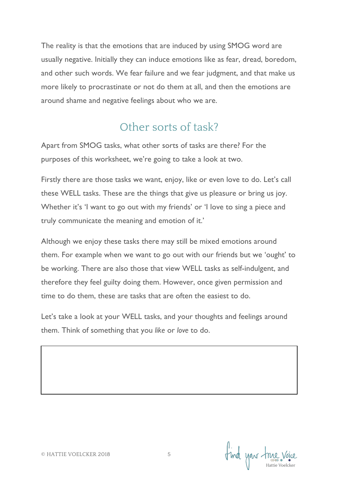The reality is that the emotions that are induced by using SMOG word are usually negative. Initially they can induce emotions like as fear, dread, boredom, and other such words. We fear failure and we fear judgment, and that make us more likely to procrastinate or not do them at all, and then the emotions are around shame and negative feelings about who we are.

#### Other sorts of task?

Apart from SMOG tasks, what other sorts of tasks are there? For the purposes of this worksheet, we're going to take a look at two.

Firstly there are those tasks we want, enjoy, like or even love to do. Let's call these WELL tasks. These are the things that give us pleasure or bring us joy. Whether it's 'I want to go out with my friends' or 'I love to sing a piece and truly communicate the meaning and emotion of it.'

Although we enjoy these tasks there may still be mixed emotions around them. For example when we want to go out with our friends but we 'ought' to be working. There are also those that view WELL tasks as self-indulgent, and therefore they feel guilty doing them. However, once given permission and time to do them, these are tasks that are often the easiest to do.

Let's take a look at your WELL tasks, and your thoughts and feelings around them. Think of something that you *like* or *love* to do.

I'ma your true voice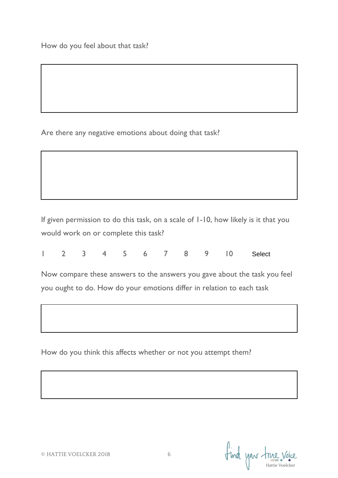Are there any negative emotions about doing that task?

If given permission to do this task, on a scale of 1-10, how likely is it that you would work on or complete this task?

|  |  |  |  |  |  |  |  |  |  | 1 2 3 4 5 6 7 8 9 10 Select |
|--|--|--|--|--|--|--|--|--|--|-----------------------------|
|--|--|--|--|--|--|--|--|--|--|-----------------------------|

Now compare these answers to the answers you gave about the task you feel you ought to do. How do your emotions differ in relation to each task

How do you think this affects whether or not you attempt them?

Find your true voice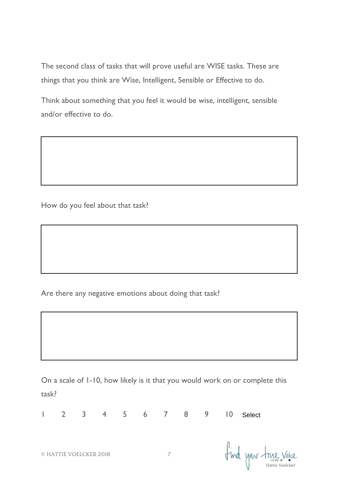The second class of tasks that will prove useful are WISE tasks. These are things that you think are Wise, Intelligent, Sensible or Effective to do.

Think about something that you feel it would be wise, intelligent, sensible and/or effective to do.

How do you feel about that task?

Are there any negative emotions about doing that task?

On a scale of 1-10, how likely is it that you would work on or complete this task?

| $\mathbf{L}$ |                        |  | 2 3 4 5 6 7 8 9 10 |  | Select               |
|--------------|------------------------|--|--------------------|--|----------------------|
|              | © HATTIE VOELCKER 2018 |  |                    |  | find your true voice |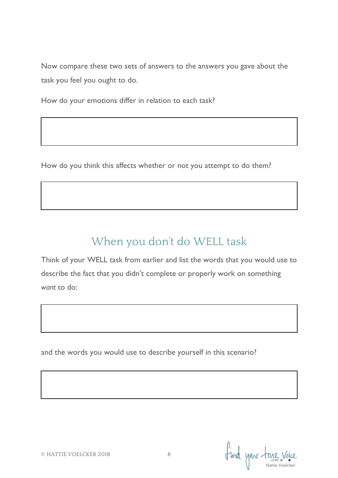Now compare these two sets of answers to the answers you gave about the task you feel you ought to do.

How do your emotions differ in relation to each task?

How do you think this affects whether or not you attempt to do them?

## When you don't do WELL task

Think of your WELL task from earlier and list the words that you would use to describe the fact that you didn't complete or properly work on something *want* to do:

and the words you would use to describe yourself in this scenario?

find your true voice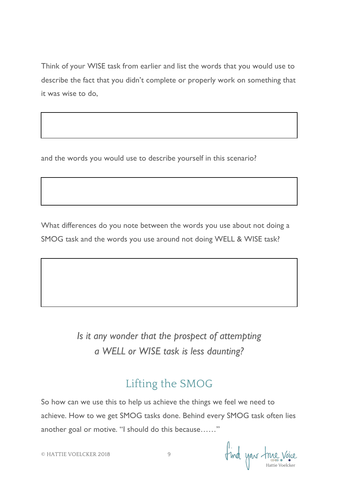Think of your WISE task from earlier and list the words that you would use to describe the fact that you didn't complete or properly work on something that it was wise to do,

and the words you would use to describe yourself in this scenario?

What differences do you note between the words you use about not doing a SMOG task and the words you use around not doing WELL & WISE task?

> *Is it any wonder that the prospect of attempting a WELL or WISE task is less daunting?*

### Lifting the SMOG

So how can we use this to help us achieve the things we feel we need to achieve. How to we get SMOG tasks done. Behind every SMOG task often lies another goal or motive. "I should do this because……"

find your time voice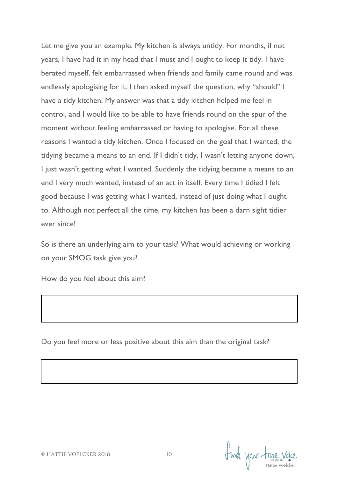Let me give you an example. My kitchen is always untidy. For months, if not years, I have had it in my head that I must and I ought to keep it tidy. I have berated myself, felt embarrassed when friends and family came round and was endlessly apologising for it. I then asked myself the question, why "should" I have a tidy kitchen. My answer was that a tidy kitchen helped me feel in control, and I would like to be able to have friends round on the spur of the moment without feeling embarrassed or having to apologise. For all these reasons I wanted a tidy kitchen. Once I focused on the goal that I wanted, the tidying became a means to an end. If I didn't tidy, I wasn't letting anyone down, I just wasn't getting what I wanted. Suddenly the tidying became a means to an end I very much wanted, instead of an act in itself. Every time I tidied I felt good because I was getting what I wanted, instead of just doing what I ought to. Although not perfect all the time, my kitchen has been a darn sight tidier ever since!

So is there an underlying aim to your task? What would achieving or working on your SMOG task give you?

How do you feel about this aim?

Do you feel more or less positive about this aim than the original task?

Find your true voice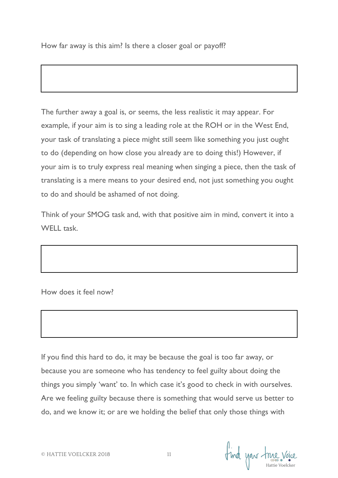How far away is this aim? Is there a closer goal or payoff?

The further away a goal is, or seems, the less realistic it may appear. For example, if your aim is to sing a leading role at the ROH or in the West End, your task of translating a piece might still seem like something you just ought to do (depending on how close you already are to doing this!) However, if your aim is to truly express real meaning when singing a piece, then the task of translating is a mere means to your desired end, not just something you ought to do and should be ashamed of not doing.

Think of your SMOG task and, with that positive aim in mind, convert it into a WELL task

How does it feel now?

If you find this hard to do, it may be because the goal is too far away, or because you are someone who has tendency to feel guilty about doing the things you simply 'want' to. In which case it's good to check in with ourselves. Are we feeling guilty because there is something that would serve us better to do, and we know it; or are we holding the belief that only those things with

find your true voice